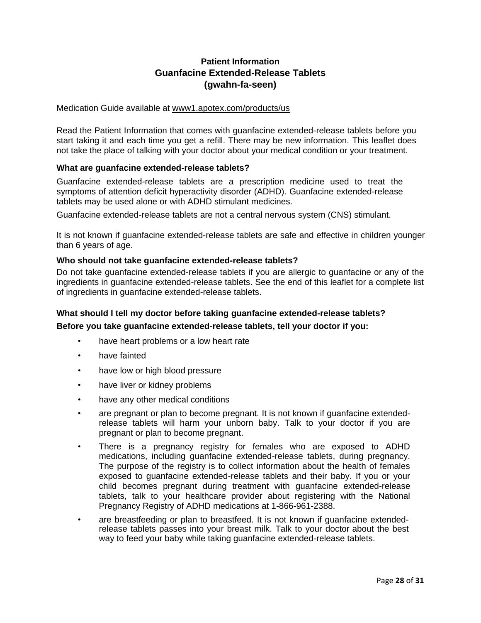# **Patient Information Guanfacine Extended-Release Tablets (gwahn-fa-seen)**

Medication Guide available at www1.apotex.com/products/us

Read the Patient Information that comes with guanfacine extended-release tablets before you start taking it and each time you get a refill. There may be new information. This leaflet does not take the place of talking with your doctor about your medical condition or your treatment.

# **What are guanfacine extended-release tablets?**

Guanfacine extended-release tablets are a prescription medicine used to treat the symptoms of attention deficit hyperactivity disorder (ADHD). Guanfacine extended-release tablets may be used alone or with ADHD stimulant medicines.

Guanfacine extended-release tablets are not a central nervous system (CNS) stimulant.

It is not known if guanfacine extended-release tablets are safe and effective in children younger than 6 years of age.

#### **Who should not take guanfacine extended-release tablets?**

Do not take guanfacine extended-release tablets if you are allergic to guanfacine or any of the ingredients in guanfacine extended-release tablets. See the end of this leaflet for a complete list of ingredients in guanfacine extended-release tablets.

# **What should I tell my doctor before taking guanfacine extended-release tablets? Before you take guanfacine extended-release tablets, tell your doctor if you:**

- have heart problems or a low heart rate
- have fainted
- have low or high blood pressure
- have liver or kidney problems
- have any other medical conditions
- are pregnant or plan to become pregnant. It is not known if guanfacine extendedrelease tablets will harm your unborn baby. Talk to your doctor if you are pregnant or plan to become pregnant.
- There is a pregnancy registry for females who are exposed to ADHD medications, including guanfacine extended-release tablets, during pregnancy. The purpose of the registry is to collect information about the health of females exposed to guanfacine extended-release tablets and their baby. If you or your child becomes pregnant during treatment with guanfacine extended-release tablets, talk to your healthcare provider about registering with the National Pregnancy Registry of ADHD medications at 1-866-961-2388.
- are breastfeeding or plan to breastfeed. It is not known if guanfacine extendedrelease tablets passes into your breast milk. Talk to your doctor about the best way to feed your baby while taking guanfacine extended-release tablets.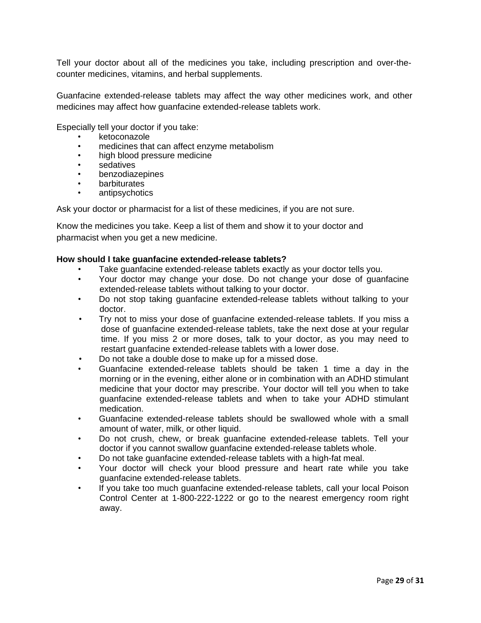Tell your doctor about all of the medicines you take, including prescription and over-thecounter medicines, vitamins, and herbal supplements.

Guanfacine extended-release tablets may affect the way other medicines work, and other medicines may affect how guanfacine extended-release tablets work.

Especially tell your doctor if you take:

- ketoconazole
- medicines that can affect enzyme metabolism
- high blood pressure medicine
- sedatives
- **benzodiazepines**
- **barbiturates**
- antipsychotics

Ask your doctor or pharmacist for a list of these medicines, if you are not sure.

Know the medicines you take. Keep a list of them and show it to your doctor and pharmacist when you get a new medicine.

#### **How should I take guanfacine extended-release tablets?**

- Take guanfacine extended-release tablets exactly as your doctor tells you.
- Your doctor may change your dose. Do not change your dose of guanfacine extended-release tablets without talking to your doctor.
- Do not stop taking guanfacine extended-release tablets without talking to your doctor.
- Try not to miss your dose of guanfacine extended-release tablets. If you miss a dose of guanfacine extended-release tablets, take the next dose at your regular time. If you miss 2 or more doses, talk to your doctor, as you may need to restart guanfacine extended-release tablets with a lower dose.
- Do not take a double dose to make up for a missed dose.
- Guanfacine extended-release tablets should be taken 1 time a day in the morning or in the evening, either alone or in combination with an ADHD stimulant medicine that your doctor may prescribe. Your doctor will tell you when to take guanfacine extended-release tablets and when to take your ADHD stimulant medication.
- Guanfacine extended-release tablets should be swallowed whole with a small amount of water, milk, or other liquid.
- Do not crush, chew, or break guanfacine extended-release tablets. Tell your doctor if you cannot swallow guanfacine extended-release tablets whole.
- Do not take guanfacine extended-release tablets with a high-fat meal.
- Your doctor will check your blood pressure and heart rate while you take guanfacine extended-release tablets.
- If you take too much guanfacine extended-release tablets, call your local Poison Control Center at 1-800-222-1222 or go to the nearest emergency room right away.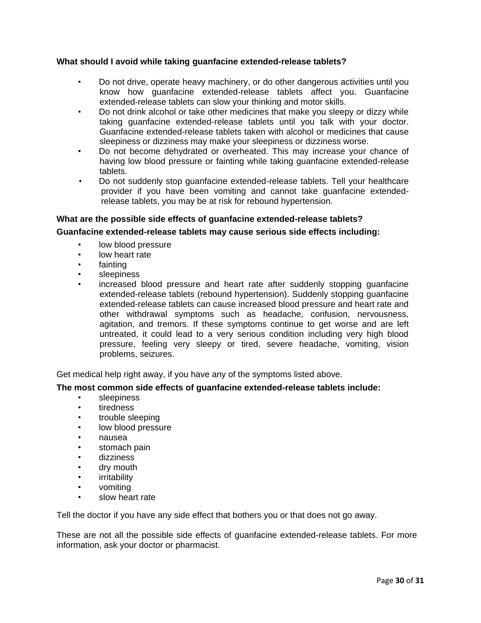# **What should I avoid while taking guanfacine extended-release tablets?**

- Do not drive, operate heavy machinery, or do other dangerous activities until you know how guanfacine extended-release tablets affect you. Guanfacine extended-release tablets can slow your thinking and motor skills.
- Do not drink alcohol or take other medicines that make you sleepy or dizzy while taking guanfacine extended-release tablets until you talk with your doctor. Guanfacine extended-release tablets taken with alcohol or medicines that cause sleepiness or dizziness may make your sleepiness or dizziness worse.
- Do not become dehydrated or overheated. This may increase your chance of having low blood pressure or fainting while taking guanfacine extended-release tablets.
- Do not suddenly stop guanfacine extended-release tablets. Tell your healthcare provider if you have been vomiting and cannot take guanfacine extendedrelease tablets, you may be at risk for rebound hypertension.

# **What are the possible side effects of guanfacine extended-release tablets?**

# **Guanfacine extended-release tablets may cause serious side effects including:**

- low blood pressure
- low heart rate
- **fainting**
- sleepiness
- increased blood pressure and heart rate after suddenly stopping guanfacine extended-release tablets (rebound hypertension). Suddenly stopping guanfacine extended-release tablets can cause increased blood pressure and heart rate and other withdrawal symptoms such as headache, confusion, nervousness, agitation, and tremors. If these symptoms continue to get worse and are left untreated, it could lead to a very serious condition including very high blood pressure, feeling very sleepy or tired, severe headache, vomiting, vision problems, seizures.

Get medical help right away, if you have any of the symptoms listed above.

# **The most common side effects of guanfacine extended-release tablets include:**

- sleepiness
- **tiredness**
- trouble sleeping
- low blood pressure
- nausea
- stomach pain
- dizziness
- dry mouth
- *irritability*
- vomiting
- slow heart rate

Tell the doctor if you have any side effect that bothers you or that does not go away.

These are not all the possible side effects of guanfacine extended-release tablets. For more information, ask your doctor or pharmacist.